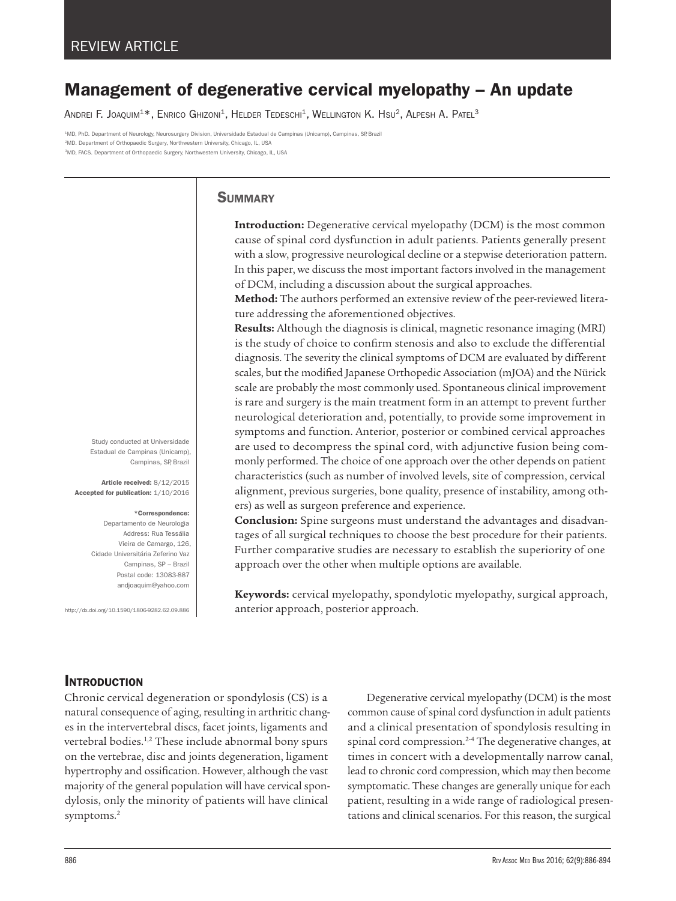# Management of degenerative cervical myelopathy – An update

ANDREI F. JOAQUIM<sup>1\*</sup>, ENRICO GHIZONI<sup>1</sup>, HELDER TEDESCHI<sup>1</sup>, WELLINGTON K. HSU<sup>2</sup>, ALPESH A. PATEL<sup>3</sup>

1MD, PhD. Department of Neurology, Neurosurgery Division, Universidade Estadual de Campinas (Unicamp), Campinas, SP, Brazil 2MD. Department of Orthopaedic Surgery, Northwestern University, Chicago, IL, USA 3MD, FACS. Department of Orthopaedic Surgery, Northwestern University, Chicago, IL, USA

# **SUMMARY**

**Introduction:** Degenerative cervical myelopathy (DCM) is the most common cause of spinal cord dysfunction in adult patients. Patients generally present with a slow, progressive neurological decline or a stepwise deterioration pattern. In this paper, we discuss the most important factors involved in the management of DCM, including a discussion about the surgical approaches.

**Method:** The authors performed an extensive review of the peer-reviewed literature addressing the aforementioned objectives.

**Results:** Although the diagnosis is clinical, magnetic resonance imaging (MRI) is the study of choice to confirm stenosis and also to exclude the differential diagnosis. The severity the clinical symptoms of DCM are evaluated by different scales, but the modified Japanese Orthopedic Association (mJOA) and the Nürick scale are probably the most commonly used. Spontaneous clinical improvement is rare and surgery is the main treatment form in an attempt to prevent further neurological deterioration and, potentially, to provide some improvement in symptoms and function. Anterior, posterior or combined cervical approaches are used to decompress the spinal cord, with adjunctive fusion being commonly performed. The choice of one approach over the other depends on patient characteristics (such as number of involved levels, site of compression, cervical alignment, previous surgeries, bone quality, presence of instability, among others) as well as surgeon preference and experience.

**Conclusion:** Spine surgeons must understand the advantages and disadvantages of all surgical techniques to choose the best procedure for their patients. Further comparative studies are necessary to establish the superiority of one approach over the other when multiple options are available.

**Keywords:** cervical myelopathy, spondylotic myelopathy, surgical approach, anterior approach, posterior approach.

Study conducted at Universidade Estadual de Campinas (Unicamp), Campinas, SP, Brazil

Article received: 8/12/2015 Accepted for publication: 1/10/2016

#### \*Correspondence:

Departamento de Neurologia Address: Rua Tessália Vieira de Camargo, 126, Cidade Universitária Zeferino Vaz Campinas, SP – Brazil Postal code: 13083-887 andjoaquim@yahoo.com

http://dx.doi.org/10.1590/1806-9282.62.09.886

# **INTRODUCTION**

Chronic cervical degeneration or spondylosis (CS) is a natural consequence of aging, resulting in arthritic changes in the intervertebral discs, facet joints, ligaments and vertebral bodies.<sup>1,2</sup> These include abnormal bony spurs on the vertebrae, disc and joints degeneration, ligament hypertrophy and ossification. However, although the vast majority of the general population will have cervical spondylosis, only the minority of patients will have clinical symptoms.2

Degenerative cervical myelopathy (DCM) is the most common cause of spinal cord dysfunction in adult patients and a clinical presentation of spondylosis resulting in spinal cord compression.<sup>2-4</sup> The degenerative changes, at times in concert with a developmentally narrow canal, lead to chronic cord compression, which may then become symptomatic. These changes are generally unique for each patient, resulting in a wide range of radiological presentations and clinical scenarios. For this reason, the surgical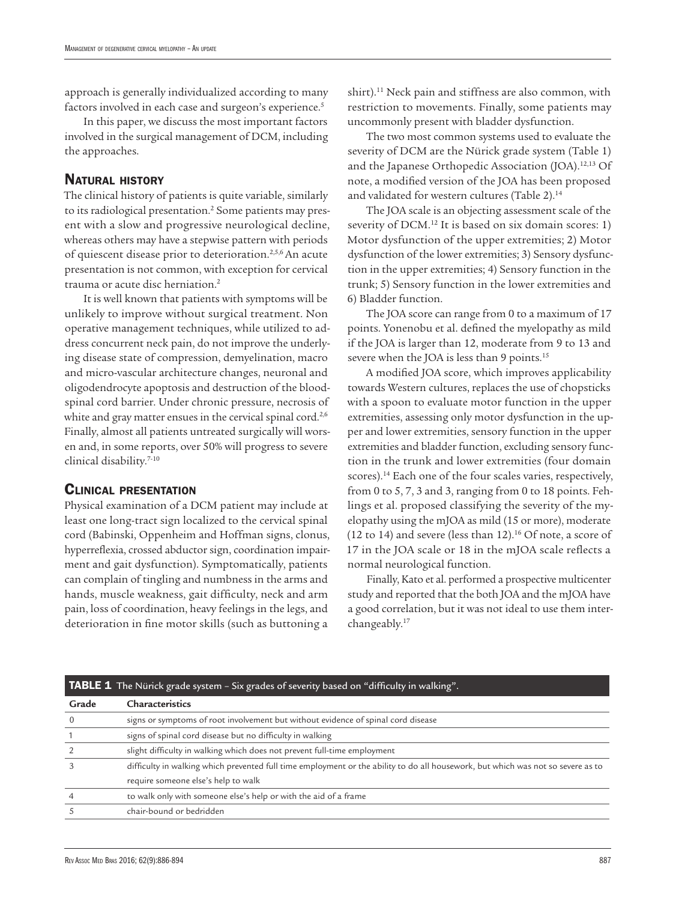approach is generally individualized according to many factors involved in each case and surgeon's experience.<sup>5</sup>

In this paper, we discuss the most important factors involved in the surgical management of DCM, including the approaches.

# **NATURAL HISTORY**

The clinical history of patients is quite variable, similarly to its radiological presentation.<sup>2</sup> Some patients may present with a slow and progressive neurological decline, whereas others may have a stepwise pattern with periods of quiescent disease prior to deterioration.<sup>2,5,6</sup> An acute presentation is not common, with exception for cervical trauma or acute disc herniation.2

It is well known that patients with symptoms will be unlikely to improve without surgical treatment. Non operative management techniques, while utilized to address concurrent neck pain, do not improve the underlying disease state of compression, demyelination, macro and micro-vascular architecture changes, neuronal and oligodendrocyte apoptosis and destruction of the bloodspinal cord barrier. Under chronic pressure, necrosis of white and gray matter ensues in the cervical spinal cord.<sup>2,6</sup> Finally, almost all patients untreated surgically will worsen and, in some reports, over 50% will progress to severe clinical disability.7-10

## Clinical presentation

Physical examination of a DCM patient may include at least one long-tract sign localized to the cervical spinal cord (Babinski, Oppenheim and Hoffman signs, clonus, hyperreflexia, crossed abductor sign, coordination impairment and gait dysfunction). Symptomatically, patients can complain of tingling and numbness in the arms and hands, muscle weakness, gait difficulty, neck and arm pain, loss of coordination, heavy feelings in the legs, and deterioration in fine motor skills (such as buttoning a

shirt).<sup>11</sup> Neck pain and stiffness are also common, with restriction to movements. Finally, some patients may uncommonly present with bladder dysfunction.

The two most common systems used to evaluate the severity of DCM are the Nürick grade system (Table 1) and the Japanese Orthopedic Association (JOA).12,13 Of note, a modified version of the JOA has been proposed and validated for western cultures (Table 2).<sup>14</sup>

The JOA scale is an objecting assessment scale of the severity of DCM.<sup>12</sup> It is based on six domain scores: 1) Motor dysfunction of the upper extremities; 2) Motor dysfunction of the lower extremities; 3) Sensory dysfunction in the upper extremities; 4) Sensory function in the trunk; 5) Sensory function in the lower extremities and 6) Bladder function.

The JOA score can range from 0 to a maximum of 17 points. Yonenobu et al. defined the myelopathy as mild if the JOA is larger than 12, moderate from 9 to 13 and severe when the JOA is less than 9 points.<sup>15</sup>

A modified JOA score, which improves applicability towards Western cultures, replaces the use of chopsticks with a spoon to evaluate motor function in the upper extremities, assessing only motor dysfunction in the upper and lower extremities, sensory function in the upper extremities and bladder function, excluding sensory function in the trunk and lower extremities (four domain scores).<sup>14</sup> Each one of the four scales varies, respectively, from 0 to 5, 7, 3 and 3, ranging from 0 to 18 points. Fehlings et al. proposed classifying the severity of the myelopathy using the mJOA as mild (15 or more), moderate (12 to 14) and severe (less than 12).<sup>16</sup> Of note, a score of 17 in the JOA scale or 18 in the mJOA scale reflects a normal neurological function.

Finally, Kato et al. performed a prospective multicenter study and reported that the both JOA and the mJOA have a good correlation, but it was not ideal to use them interchangeably.17

| <b>TABLE 1</b> The Nürick grade system – Six grades of severity based on "difficulty in walking". |                                                                                                                                  |  |
|---------------------------------------------------------------------------------------------------|----------------------------------------------------------------------------------------------------------------------------------|--|
| Grade                                                                                             | Characteristics                                                                                                                  |  |
|                                                                                                   | signs or symptoms of root involvement but without evidence of spinal cord disease                                                |  |
|                                                                                                   | signs of spinal cord disease but no difficulty in walking                                                                        |  |
|                                                                                                   | slight difficulty in walking which does not prevent full-time employment                                                         |  |
|                                                                                                   | difficulty in walking which prevented full time employment or the ability to do all housework, but which was not so severe as to |  |
|                                                                                                   | require someone else's help to walk                                                                                              |  |
|                                                                                                   | to walk only with someone else's help or with the aid of a frame                                                                 |  |
|                                                                                                   | chair-bound or bedridden                                                                                                         |  |

#### **TABLE 1** The Nürick grade system - Six grades of severity based on "difficulty in walking".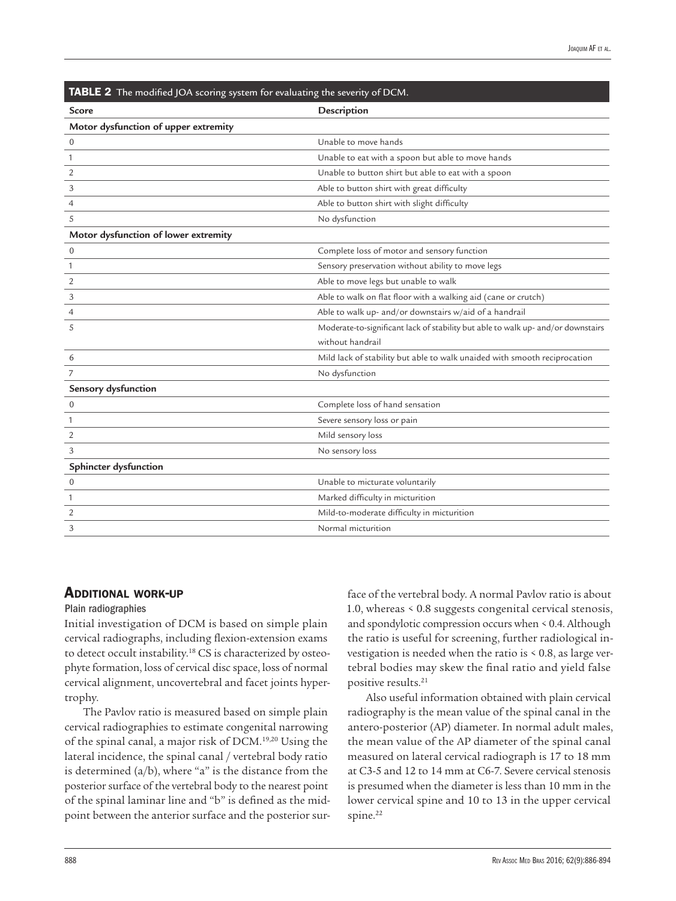| <b>IABLE 2</b> The modified JOA scoring system for evaluating the severity of DCM. |                                                                                  |  |
|------------------------------------------------------------------------------------|----------------------------------------------------------------------------------|--|
| Score                                                                              | Description                                                                      |  |
| Motor dysfunction of upper extremity                                               |                                                                                  |  |
| $\mathbf 0$                                                                        | Unable to move hands                                                             |  |
| 1                                                                                  | Unable to eat with a spoon but able to move hands                                |  |
| $\overline{2}$                                                                     | Unable to button shirt but able to eat with a spoon                              |  |
| 3                                                                                  | Able to button shirt with great difficulty                                       |  |
| $\overline{4}$                                                                     | Able to button shirt with slight difficulty                                      |  |
| 5                                                                                  | No dysfunction                                                                   |  |
| Motor dysfunction of lower extremity                                               |                                                                                  |  |
| $\mathbf 0$                                                                        | Complete loss of motor and sensory function                                      |  |
| 1                                                                                  | Sensory preservation without ability to move legs                                |  |
| 2                                                                                  | Able to move legs but unable to walk                                             |  |
| 3                                                                                  | Able to walk on flat floor with a walking aid (cane or crutch)                   |  |
| 4                                                                                  | Able to walk up- and/or downstairs w/aid of a handrail                           |  |
| 5                                                                                  | Moderate-to-significant lack of stability but able to walk up- and/or downstairs |  |
|                                                                                    | without handrail                                                                 |  |
| 6                                                                                  | Mild lack of stability but able to walk unaided with smooth reciprocation        |  |
| 7                                                                                  | No dysfunction                                                                   |  |
| Sensory dysfunction                                                                |                                                                                  |  |
| $\mathbf 0$                                                                        | Complete loss of hand sensation                                                  |  |
| 1                                                                                  | Severe sensory loss or pain                                                      |  |
| $\overline{2}$                                                                     | Mild sensory loss                                                                |  |
| 3                                                                                  | No sensory loss                                                                  |  |
| Sphincter dysfunction                                                              |                                                                                  |  |
| $\mathbf 0$                                                                        | Unable to micturate voluntarily                                                  |  |
| 1                                                                                  | Marked difficulty in micturition                                                 |  |
| 2                                                                                  | Mild-to-moderate difficulty in micturition                                       |  |
| 3                                                                                  | Normal micturition                                                               |  |
|                                                                                    |                                                                                  |  |

#### TABLE 2 The modified JOA scoring system for evaluating the severity of DCM.

# **ADDITIONAL WORK-UP**

#### Plain radiographies

Initial investigation of DCM is based on simple plain cervical radiographs, including flexion-extension exams to detect occult instability.<sup>18</sup> CS is characterized by osteophyte formation, loss of cervical disc space, loss of normal cervical alignment, uncovertebral and facet joints hypertrophy.

The Pavlov ratio is measured based on simple plain cervical radiographies to estimate congenital narrowing of the spinal canal, a major risk of DCM.19,20 Using the lateral incidence, the spinal canal / vertebral body ratio is determined  $(a/b)$ , where "a" is the distance from the posterior surface of the vertebral body to the nearest point of the spinal laminar line and "b" is defined as the midpoint between the anterior surface and the posterior surface of the vertebral body. A normal Pavlov ratio is about 1.0, whereas < 0.8 suggests congenital cervical stenosis, and spondylotic compression occurs when < 0.4. Although the ratio is useful for screening, further radiological investigation is needed when the ratio is < 0.8, as large vertebral bodies may skew the final ratio and yield false positive results.21

Also useful information obtained with plain cervical radiography is the mean value of the spinal canal in the antero-posterior (AP) diameter. In normal adult males, the mean value of the AP diameter of the spinal canal measured on lateral cervical radiograph is 17 to 18 mm at C3-5 and 12 to 14 mm at C6-7. Severe cervical stenosis is presumed when the diameter is less than 10 mm in the lower cervical spine and 10 to 13 in the upper cervical spine.<sup>22</sup>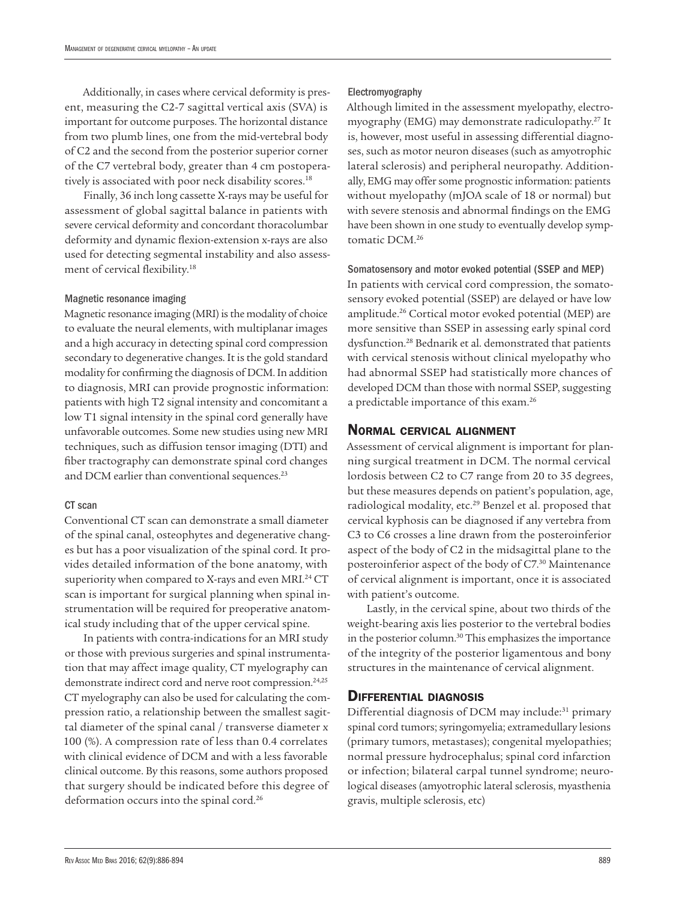Additionally, in cases where cervical deformity is present, measuring the C2-7 sagittal vertical axis (SVA) is important for outcome purposes. The horizontal distance from two plumb lines, one from the mid-vertebral body of C2 and the second from the posterior superior corner of the C7 vertebral body, greater than 4 cm postoperatively is associated with poor neck disability scores.<sup>18</sup>

Finally, 36 inch long cassette X-rays may be useful for assessment of global sagittal balance in patients with severe cervical deformity and concordant thoracolumbar deformity and dynamic flexion-extension x-rays are also used for detecting segmental instability and also assessment of cervical flexibility.18

#### Magnetic resonance imaging

Magnetic resonance imaging (MRI) is the modality of choice to evaluate the neural elements, with multiplanar images and a high accuracy in detecting spinal cord compression secondary to degenerative changes. It is the gold standard modality for confirming the diagnosis of DCM. In addition to diagnosis, MRI can provide prognostic information: patients with high T2 signal intensity and concomitant a low T1 signal intensity in the spinal cord generally have unfavorable outcomes. Some new studies using new MRI techniques, such as diffusion tensor imaging (DTI) and fiber tractography can demonstrate spinal cord changes and DCM earlier than conventional sequences.<sup>23</sup>

#### CT scan

Conventional CT scan can demonstrate a small diameter of the spinal canal, osteophytes and degenerative changes but has a poor visualization of the spinal cord. It provides detailed information of the bone anatomy, with superiority when compared to X-rays and even MRI.<sup>24</sup> CT scan is important for surgical planning when spinal instrumentation will be required for preoperative anatomical study including that of the upper cervical spine.

In patients with contra-indications for an MRI study or those with previous surgeries and spinal instrumentation that may affect image quality, CT myelography can demonstrate indirect cord and nerve root compression.<sup>24,25</sup> CT myelography can also be used for calculating the compression ratio, a relationship between the smallest sagittal diameter of the spinal canal / transverse diameter x 100 (%). A compression rate of less than 0.4 correlates with clinical evidence of DCM and with a less favorable clinical outcome. By this reasons, some authors proposed that surgery should be indicated before this degree of deformation occurs into the spinal cord.<sup>26</sup>

#### Electromyography

Although limited in the assessment myelopathy, electromyography (EMG) may demonstrate radiculopathy.27 It is, however, most useful in assessing differential diagnoses, such as motor neuron diseases (such as amyotrophic lateral sclerosis) and peripheral neuropathy. Additionally, EMG may offer some prognostic information: patients without myelopathy (mJOA scale of 18 or normal) but with severe stenosis and abnormal findings on the EMG have been shown in one study to eventually develop symptomatic DCM.26

Somatosensory and motor evoked potential (SSEP and MEP) In patients with cervical cord compression, the somatosensory evoked potential (SSEP) are delayed or have low amplitude.26 Cortical motor evoked potential (MEP) are more sensitive than SSEP in assessing early spinal cord dysfunction.28 Bednarik et al. demonstrated that patients with cervical stenosis without clinical myelopathy who had abnormal SSEP had statistically more chances of developed DCM than those with normal SSEP, suggesting a predictable importance of this exam.26

## Normal cervical alignment

Assessment of cervical alignment is important for planning surgical treatment in DCM. The normal cervical lordosis between C2 to C7 range from 20 to 35 degrees, but these measures depends on patient's population, age, radiological modality, etc.29 Benzel et al. proposed that cervical kyphosis can be diagnosed if any vertebra from C3 to C6 crosses a line drawn from the posteroinferior aspect of the body of C2 in the midsagittal plane to the posteroinferior aspect of the body of C7.30 Maintenance of cervical alignment is important, once it is associated with patient's outcome.

Lastly, in the cervical spine, about two thirds of the weight-bearing axis lies posterior to the vertebral bodies in the posterior column.<sup>30</sup> This emphasizes the importance of the integrity of the posterior ligamentous and bony structures in the maintenance of cervical alignment.

## Differential diagnosis

Differential diagnosis of DCM may include:<sup>31</sup> primary spinal cord tumors; syringomyelia; extramedullary lesions (primary tumors, metastases); congenital myelopathies; normal pressure hydrocephalus; spinal cord infarction or infection; bilateral carpal tunnel syndrome; neurological diseases (amyotrophic lateral sclerosis, myasthenia gravis, multiple sclerosis, etc)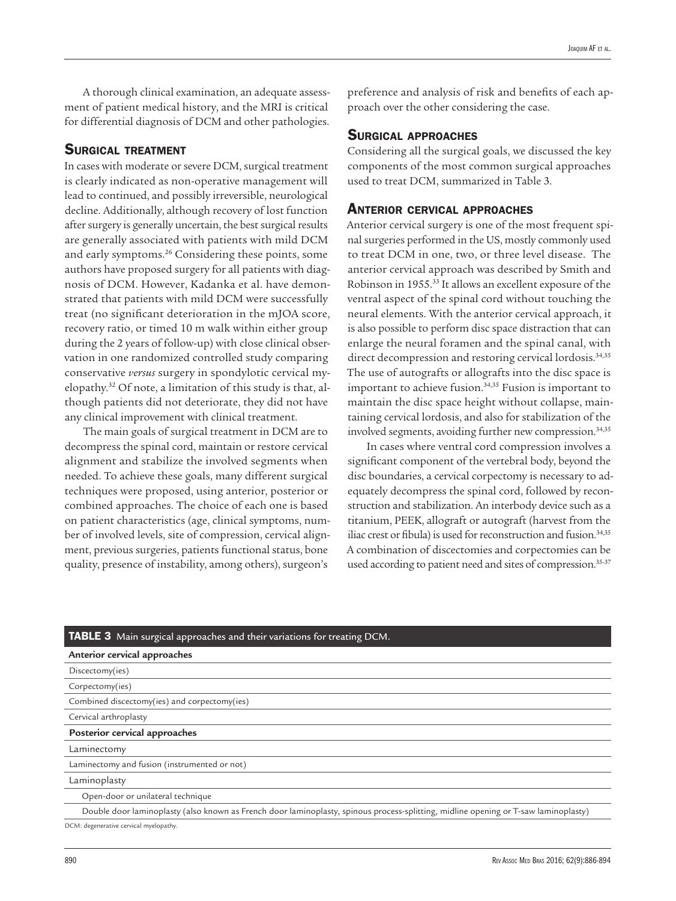A thorough clinical examination, an adequate assessment of patient medical history, and the MRI is critical for differential diagnosis of DCM and other pathologies.

## SURGICAL TREATMENT

In cases with moderate or severe DCM, surgical treatment is clearly indicated as non-operative management will lead to continued, and possibly irreversible, neurological decline. Additionally, although recovery of lost function after surgery is generally uncertain, the best surgical results are generally associated with patients with mild DCM and early symptoms.26 Considering these points, some authors have proposed surgery for all patients with diagnosis of DCM. However, Kadanka et al. have demonstrated that patients with mild DCM were successfully treat (no significant deterioration in the mJOA score, recovery ratio, or timed 10 m walk within either group during the 2 years of follow-up) with close clinical observation in one randomized controlled study comparing conservative *versus* surgery in spondylotic cervical myelopathy.32 Of note, a limitation of this study is that, although patients did not deteriorate, they did not have any clinical improvement with clinical treatment.

The main goals of surgical treatment in DCM are to decompress the spinal cord, maintain or restore cervical alignment and stabilize the involved segments when needed. To achieve these goals, many different surgical techniques were proposed, using anterior, posterior or combined approaches. The choice of each one is based on patient characteristics (age, clinical symptoms, number of involved levels, site of compression, cervical alignment, previous surgeries, patients functional status, bone quality, presence of instability, among others), surgeon's

preference and analysis of risk and benefits of each approach over the other considering the case.

### Surgical approaches

Considering all the surgical goals, we discussed the key components of the most common surgical approaches used to treat DCM, summarized in Table 3.

## Anterior cervical approaches

Anterior cervical surgery is one of the most frequent spinal surgeries performed in the US, mostly commonly used to treat DCM in one, two, or three level disease. The anterior cervical approach was described by Smith and Robinson in 1955.33 It allows an excellent exposure of the ventral aspect of the spinal cord without touching the neural elements. With the anterior cervical approach, it is also possible to perform disc space distraction that can enlarge the neural foramen and the spinal canal, with direct decompression and restoring cervical lordosis.<sup>34,35</sup> The use of autografts or allografts into the disc space is important to achieve fusion.<sup>34,35</sup> Fusion is important to maintain the disc space height without collapse, maintaining cervical lordosis, and also for stabilization of the involved segments, avoiding further new compression.<sup>34,35</sup>

In cases where ventral cord compression involves a significant component of the vertebral body, beyond the disc boundaries, a cervical corpectomy is necessary to adequately decompress the spinal cord, followed by reconstruction and stabilization. An interbody device such as a titanium, PEEK, allograft or autograft (harvest from the iliac crest or fibula) is used for reconstruction and fusion.<sup>34,35</sup> A combination of discectomies and corpectomies can be used according to patient need and sites of compression.<sup>35-37</sup>

## TABLE 3 Main surgical approaches and their variations for treating DCM.

| Anterior cervical approaches                                                                                                        |  |  |
|-------------------------------------------------------------------------------------------------------------------------------------|--|--|
| Discectomy(ies)                                                                                                                     |  |  |
| Corpectomy(ies)                                                                                                                     |  |  |
| Combined discectomy(ies) and corpectomy(ies)                                                                                        |  |  |
| Cervical arthroplasty                                                                                                               |  |  |
| Posterior cervical approaches                                                                                                       |  |  |
| Laminectomy                                                                                                                         |  |  |
| Laminectomy and fusion (instrumented or not)                                                                                        |  |  |
| Laminoplasty                                                                                                                        |  |  |
| Open-door or unilateral technique                                                                                                   |  |  |
| Double door laminoplasty (also known as French door laminoplasty, spinous process-splitting, midline opening or T-saw laminoplasty) |  |  |
|                                                                                                                                     |  |  |

DCM: degenerative cervical myelopathy.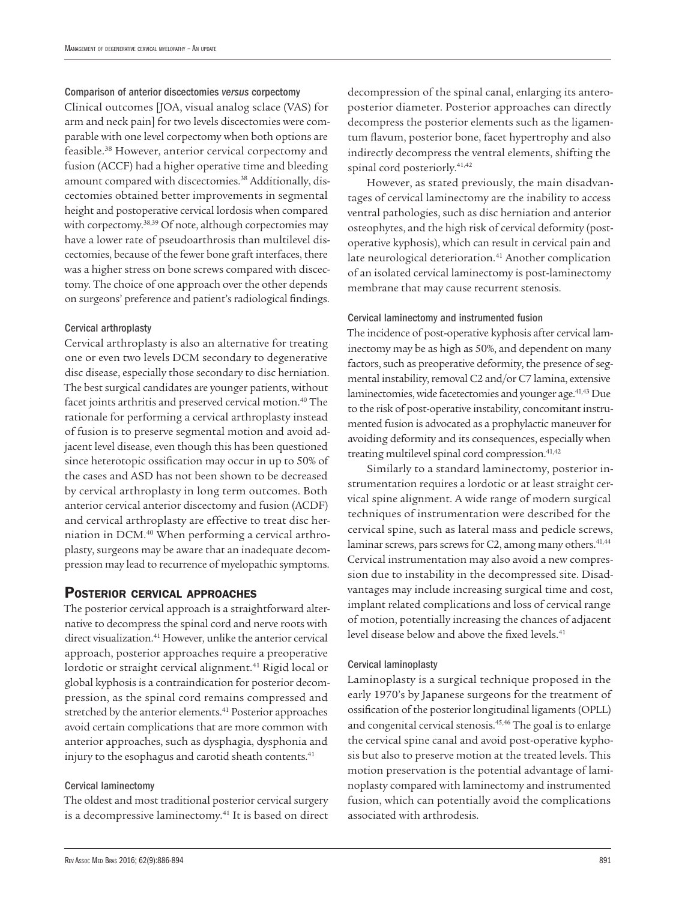Comparison of anterior discectomies *versus* corpectomy Clinical outcomes [JOA, visual analog sclace (VAS) for arm and neck pain] for two levels discectomies were comparable with one level corpectomy when both options are feasible.38 However, anterior cervical corpectomy and fusion (ACCF) had a higher operative time and bleeding amount compared with discectomies.38 Additionally, discectomies obtained better improvements in segmental height and postoperative cervical lordosis when compared with corpectomy.38,39 Of note, although corpectomies may have a lower rate of pseudoarthrosis than multilevel discectomies, because of the fewer bone graft interfaces, there was a higher stress on bone screws compared with discectomy. The choice of one approach over the other depends on surgeons' preference and patient's radiological findings.

#### Cervical arthroplasty

Cervical arthroplasty is also an alternative for treating one or even two levels DCM secondary to degenerative disc disease, especially those secondary to disc herniation. The best surgical candidates are younger patients, without facet joints arthritis and preserved cervical motion.<sup>40</sup> The rationale for performing a cervical arthroplasty instead of fusion is to preserve segmental motion and avoid adjacent level disease, even though this has been questioned since heterotopic ossification may occur in up to 50% of the cases and ASD has not been shown to be decreased by cervical arthroplasty in long term outcomes. Both anterior cervical anterior discectomy and fusion (ACDF) and cervical arthroplasty are effective to treat disc herniation in DCM.40 When performing a cervical arthroplasty, surgeons may be aware that an inadequate decompression may lead to recurrence of myelopathic symptoms.

# Posterior cervical approaches

The posterior cervical approach is a straightforward alternative to decompress the spinal cord and nerve roots with direct visualization.<sup>41</sup> However, unlike the anterior cervical approach, posterior approaches require a preoperative lordotic or straight cervical alignment.<sup>41</sup> Rigid local or global kyphosis is a contraindication for posterior decompression, as the spinal cord remains compressed and stretched by the anterior elements.<sup>41</sup> Posterior approaches avoid certain complications that are more common with anterior approaches, such as dysphagia, dysphonia and injury to the esophagus and carotid sheath contents.<sup>41</sup>

### Cervical laminectomy

The oldest and most traditional posterior cervical surgery is a decompressive laminectomy.<sup>41</sup> It is based on direct decompression of the spinal canal, enlarging its anteroposterior diameter. Posterior approaches can directly decompress the posterior elements such as the ligamentum flavum, posterior bone, facet hypertrophy and also indirectly decompress the ventral elements, shifting the spinal cord posteriorly.41,42

However, as stated previously, the main disadvantages of cervical laminectomy are the inability to access ventral pathologies, such as disc herniation and anterior osteophytes, and the high risk of cervical deformity (postoperative kyphosis), which can result in cervical pain and late neurological deterioration.<sup>41</sup> Another complication of an isolated cervical laminectomy is post-laminectomy membrane that may cause recurrent stenosis.

## Cervical laminectomy and instrumented fusion

The incidence of post-operative kyphosis after cervical laminectomy may be as high as 50%, and dependent on many factors, such as preoperative deformity, the presence of segmental instability, removal C2 and/or C7 lamina, extensive laminectomies, wide facetectomies and younger age.<sup>41,43</sup> Due to the risk of post-operative instability, concomitant instrumented fusion is advocated as a prophylactic maneuver for avoiding deformity and its consequences, especially when treating multilevel spinal cord compression.<sup>41,42</sup>

Similarly to a standard laminectomy, posterior instrumentation requires a lordotic or at least straight cervical spine alignment. A wide range of modern surgical techniques of instrumentation were described for the cervical spine, such as lateral mass and pedicle screws, laminar screws, pars screws for C2, among many others.<sup>41,44</sup> Cervical instrumentation may also avoid a new compression due to instability in the decompressed site. Disadvantages may include increasing surgical time and cost, implant related complications and loss of cervical range of motion, potentially increasing the chances of adjacent level disease below and above the fixed levels.<sup>41</sup>

#### Cervical laminoplasty

Laminoplasty is a surgical technique proposed in the early 1970's by Japanese surgeons for the treatment of ossification of the posterior longitudinal ligaments (OPLL) and congenital cervical stenosis.45,46 The goal is to enlarge the cervical spine canal and avoid post-operative kyphosis but also to preserve motion at the treated levels. This motion preservation is the potential advantage of laminoplasty compared with laminectomy and instrumented fusion, which can potentially avoid the complications associated with arthrodesis.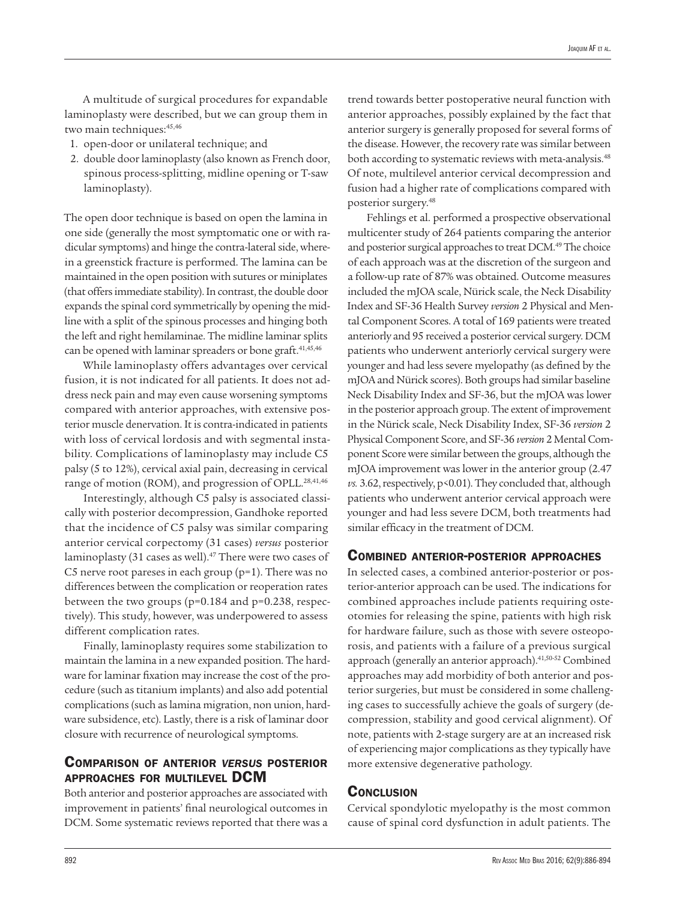A multitude of surgical procedures for expandable laminoplasty were described, but we can group them in two main techniques: 45,46

- 1. open-door or unilateral technique; and
- 2. double door laminoplasty (also known as French door, spinous process-splitting, midline opening or T-saw laminoplasty).

The open door technique is based on open the lamina in one side (generally the most symptomatic one or with radicular symptoms) and hinge the contra-lateral side, wherein a greenstick fracture is performed. The lamina can be maintained in the open position with sutures or miniplates (that offers immediate stability). In contrast, the double door expands the spinal cord symmetrically by opening the midline with a split of the spinous processes and hinging both the left and right hemilaminae. The midline laminar splits can be opened with laminar spreaders or bone graft.<sup>41,45,46</sup>

While laminoplasty offers advantages over cervical fusion, it is not indicated for all patients. It does not address neck pain and may even cause worsening symptoms compared with anterior approaches, with extensive posterior muscle denervation. It is contra-indicated in patients with loss of cervical lordosis and with segmental instability. Complications of laminoplasty may include C5 palsy (5 to 12%), cervical axial pain, decreasing in cervical range of motion (ROM), and progression of OPLL.<sup>28,41,46</sup>

Interestingly, although C5 palsy is associated classically with posterior decompression, Gandhoke reported that the incidence of C5 palsy was similar comparing anterior cervical corpectomy (31 cases) *versus* posterior laminoplasty (31 cases as well).<sup>47</sup> There were two cases of C5 nerve root pareses in each group (p=1). There was no differences between the complication or reoperation rates between the two groups (p=0.184 and p=0.238, respectively). This study, however, was underpowered to assess different complication rates.

Finally, laminoplasty requires some stabilization to maintain the lamina in a new expanded position. The hardware for laminar fixation may increase the cost of the procedure (such as titanium implants) and also add potential complications (such as lamina migration, non union, hardware subsidence, etc). Lastly, there is a risk of laminar door closure with recurrence of neurological symptoms.

# Comparison of anterior *versus* posterior approaches for multilevel DCM

Both anterior and posterior approaches are associated with improvement in patients' final neurological outcomes in DCM. Some systematic reviews reported that there was a trend towards better postoperative neural function with anterior approaches, possibly explained by the fact that anterior surgery is generally proposed for several forms of the disease. However, the recovery rate was similar between both according to systematic reviews with meta-analysis.<sup>48</sup> Of note, multilevel anterior cervical decompression and fusion had a higher rate of complications compared with posterior surgery.48

Fehlings et al. performed a prospective observational multicenter study of 264 patients comparing the anterior and posterior surgical approaches to treat DCM.<sup>49</sup> The choice of each approach was at the discretion of the surgeon and a follow-up rate of 87% was obtained. Outcome measures included the mJOA scale, Nürick scale, the Neck Disability Index and SF-36 Health Survey *version* 2 Physical and Mental Component Scores. A total of 169 patients were treated anteriorly and 95 received a posterior cervical surgery. DCM patients who underwent anteriorly cervical surgery were younger and had less severe myelopathy (as defined by the mJOA and Nürick scores). Both groups had similar baseline Neck Disability Index and SF-36, but the mJOA was lower in the posterior approach group. The extent of improvement in the Nürick scale, Neck Disability Index, SF-36 *version* 2 Physical Component Score, and SF-36 *version* 2 Mental Component Score were similar between the groups, although the mJOA improvement was lower in the anterior group (2.47 *vs.* 3.62, respectively, p<0.01). They concluded that, although patients who underwent anterior cervical approach were younger and had less severe DCM, both treatments had similar efficacy in the treatment of DCM.

## Combined anterior-posterior approaches

In selected cases, a combined anterior-posterior or posterior-anterior approach can be used. The indications for combined approaches include patients requiring osteotomies for releasing the spine, patients with high risk for hardware failure, such as those with severe osteoporosis, and patients with a failure of a previous surgical approach (generally an anterior approach).41,50-52 Combined approaches may add morbidity of both anterior and posterior surgeries, but must be considered in some challenging cases to successfully achieve the goals of surgery (decompression, stability and good cervical alignment). Of note, patients with 2-stage surgery are at an increased risk of experiencing major complications as they typically have more extensive degenerative pathology.

## **CONCLUSION**

Cervical spondylotic myelopathy is the most common cause of spinal cord dysfunction in adult patients. The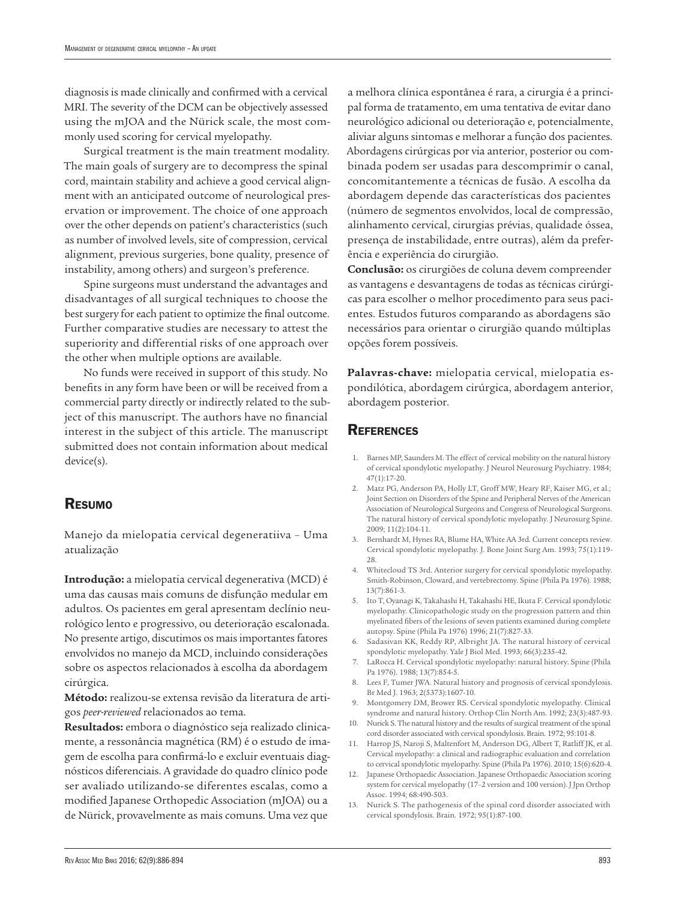diagnosis is made clinically and confirmed with a cervical MRI. The severity of the DCM can be objectively assessed using the mJOA and the Nürick scale, the most commonly used scoring for cervical myelopathy.

Surgical treatment is the main treatment modality. The main goals of surgery are to decompress the spinal cord, maintain stability and achieve a good cervical alignment with an anticipated outcome of neurological preservation or improvement. The choice of one approach over the other depends on patient's characteristics (such as number of involved levels, site of compression, cervical alignment, previous surgeries, bone quality, presence of instability, among others) and surgeon's preference.

Spine surgeons must understand the advantages and disadvantages of all surgical techniques to choose the best surgery for each patient to optimize the final outcome. Further comparative studies are necessary to attest the superiority and differential risks of one approach over the other when multiple options are available.

No funds were received in support of this study. No benefits in any form have been or will be received from a commercial party directly or indirectly related to the subject of this manuscript. The authors have no financial interest in the subject of this article. The manuscript submitted does not contain information about medical device(s).

# Resumo

Manejo da mielopatia cervical degeneratiiva – Uma atualização

**Introdução:** a mielopatia cervical degenerativa (MCD) é uma das causas mais comuns de disfunção medular em adultos. Os pacientes em geral apresentam declínio neurológico lento e progressivo, ou deterioração escalonada. No presente artigo, discutimos os mais importantes fatores envolvidos no manejo da MCD, incluindo considerações sobre os aspectos relacionados à escolha da abordagem cirúrgica.

**Método:** realizou-se extensa revisão da literatura de artigos *peer-reviewed* relacionados ao tema.

**Resultados:** embora o diagnóstico seja realizado clinicamente, a ressonância magnética (RM) é o estudo de imagem de escolha para confirmá-lo e excluir eventuais diagnósticos diferenciais. A gravidade do quadro clínico pode ser avaliado utilizando-se diferentes escalas, como a modified Japanese Orthopedic Association (mJOA) ou a de Nürick, provavelmente as mais comuns. Uma vez que

a melhora clínica espontânea é rara, a cirurgia é a principal forma de tratamento, em uma tentativa de evitar dano neurológico adicional ou deterioração e, potencialmente, aliviar alguns sintomas e melhorar a função dos pacientes. Abordagens cirúrgicas por via anterior, posterior ou combinada podem ser usadas para descomprimir o canal, concomitantemente a técnicas de fusão. A escolha da abordagem depende das características dos pacientes (número de segmentos envolvidos, local de compressão, alinhamento cervical, cirurgias prévias, qualidade óssea, presença de instabilidade, entre outras), além da preferência e experiência do cirurgião.

**Conclusão:** os cirurgiões de coluna devem compreender as vantagens e desvantagens de todas as técnicas cirúrgicas para escolher o melhor procedimento para seus pacientes. Estudos futuros comparando as abordagens são necessários para orientar o cirurgião quando múltiplas opções forem possíveis.

**Palavras-chave:** mielopatia cervical, mielopatia espondilótica, abordagem cirúrgica, abordagem anterior, abordagem posterior.

## **REFERENCES**

- 1. Barnes MP, Saunders M. The effect of cervical mobility on the natural history of cervical spondylotic myelopathy. J Neurol Neurosurg Psychiatry. 1984; 47(1):17-20.
- 2. Matz PG, Anderson PA, Holly LT, Groff MW, Heary RF, Kaiser MG, et al.; Joint Section on Disorders of the Spine and Peripheral Nerves of the American Association of Neurological Surgeons and Congress of Neurological Surgeons. The natural history of cervical spondylotic myelopathy. J Neurosurg Spine. 2009; 11(2):104-11.
- 3. Bernhardt M, Hynes RA, Blume HA, White AA 3rd. Current concepts review. Cervical spondylotic myelopathy. J. Bone Joint Surg Am. 1993; 75(1):119- 28.
- 4. Whitecloud TS 3rd. Anterior surgery for cervical spondylotic myelopathy. Smith-Robinson, Cloward, and vertebrectomy. Spine (Phila Pa 1976). 1988; 13(7):861-3.
- 5. Ito T, Oyanagi K, Takahashi H, Takahashi HE, Ikuta F. Cervical spondylotic myelopathy. Clinicopathologic study on the progression pattern and thin myelinated fibers of the lesions of seven patients examined during complete autopsy. Spine (Phila Pa 1976) 1996; 21(7):827-33.
- 6. Sadasivan KK, Reddy RP, Albright JA. The natural history of cervical spondylotic myelopathy. Yale J Biol Med. 1993; 66(3):235-42.
- 7. LaRocca H. Cervical spondylotic myelopathy: natural history. Spine (Phila Pa 1976). 1988; 13(7):854-5.
- 8. Lees F, Tumer JWA. Natural history and prognosis of cervical spondylosis. Br Med J. 1963; 2(5373):1607-10.
- 9. Montgomery DM, Brower RS. Cervical spondylotic myelopathy. Clinical syndrome and natural history. Orthop Clin North Am. 1992; 23(3):487-93.
- 10. Nurick S. The natural history and the results of surgical treatment of the spinal cord disorder associated with cervical spondylosis. Brain. 1972; 95:101-8.
- 11. Harrop JS, Naroji S, Maltenfort M, Anderson DG, Albert T, Ratliff JK, et al. Cervical myelopathy: a clinical and radiographic evaluation and correlation to cervical spondylotic myelopathy. Spine (Phila Pa 1976). 2010; 15(6):620-4.
- 12. Japanese Orthopaedic Association. Japanese Orthopaedic Association scoring system for cervical myelopathy (17–2 version and 100 version). J Jpn Orthop Assoc. 1994; 68:490-503.
- 13. Nurick S. The pathogenesis of the spinal cord disorder associated with cervical spondylosis. Brain. 1972; 95(1):87-100.